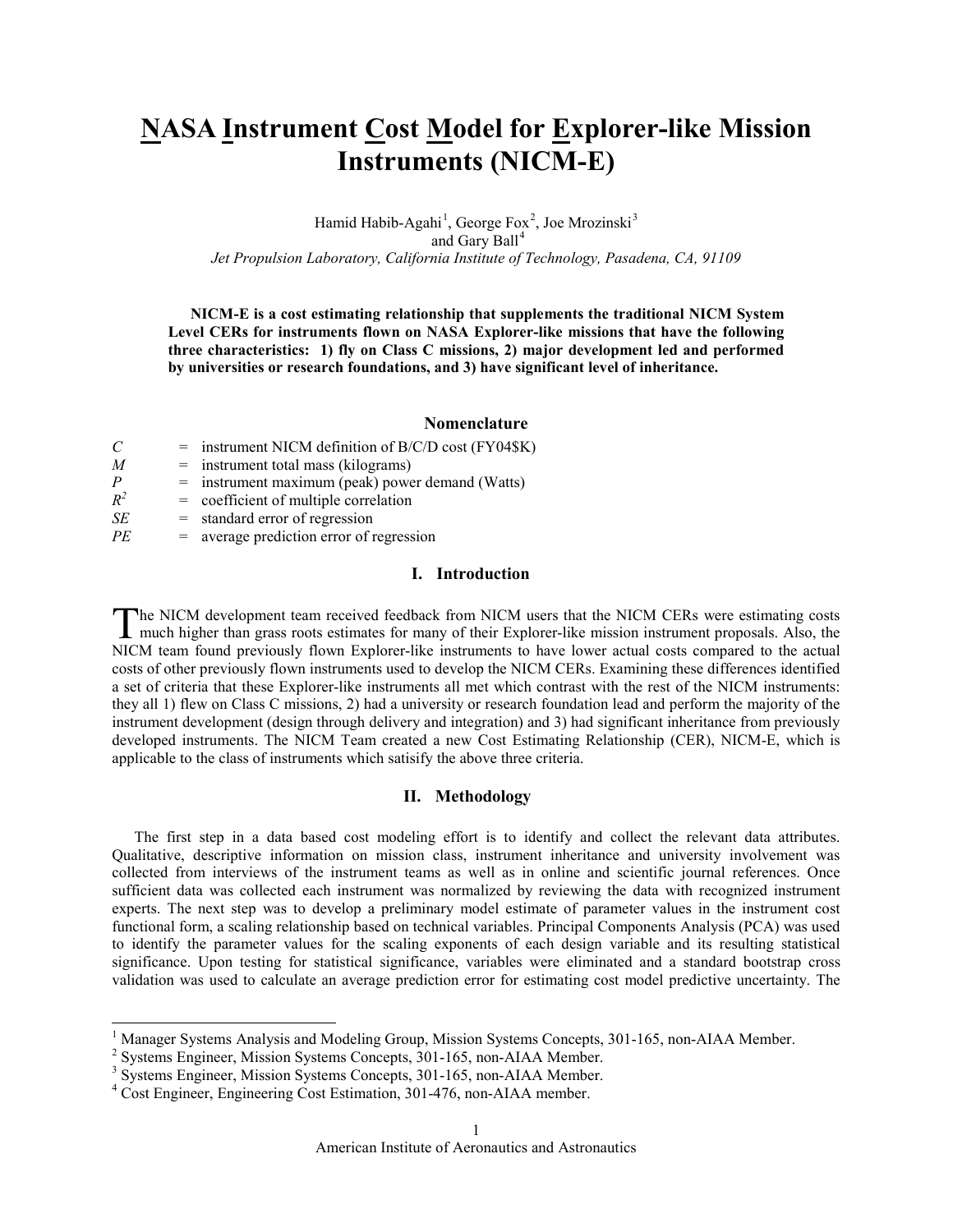# **NASA Instrument Cost Model for Explorer-like Mission Instruments (NICM-E)**

Hamid Habib-Agahi<sup>[1](#page-0-0)</sup>, George Fox<sup>[2](#page-0-1)</sup>, Joe Mrozinski<sup>[3](#page-0-2)</sup> and Gary Ball<sup>[4](#page-0-3)</sup> *Jet Propulsion Laboratory, California Institute of Technology, Pasadena, CA, 91109*

**NICM-E is a cost estimating relationship that supplements the traditional NICM System Level CERs for instruments flown on NASA Explorer-like missions that have the following three characteristics: 1) fly on Class C missions, 2) major development led and performed by universities or research foundations, and 3) have significant level of inheritance.** 

#### **Nomenclature**

| $\mathcal{C}$  | $=$ instrument NICM definition of B/C/D cost (FY04\$K) |
|----------------|--------------------------------------------------------|
| M              | $=$ instrument total mass (kilograms)                  |
| $\overline{P}$ | $=$ instrument maximum (peak) power demand (Watts)     |
| $R^2$          | $=$ coefficient of multiple correlation                |
| SЕ             | $=$ standard error of regression                       |
| РE             | = average prediction error of regression               |
|                |                                                        |

## **I. Introduction**

he NICM development team received feedback from NICM users that the NICM CERs were estimating costs The NICM development team received feedback from NICM users that the NICM CERs were estimating costs much higher than grass roots estimates for many of their Explorer-like mission instrument proposals. Also, the NICM team found previously flown Explorer-like instruments to have lower actual costs compared to the actual costs of other previously flown instruments used to develop the NICM CERs. Examining these differences identified a set of criteria that these Explorer-like instruments all met which contrast with the rest of the NICM instruments: they all 1) flew on Class C missions, 2) had a university or research foundation lead and perform the majority of the instrument development (design through delivery and integration) and 3) had significant inheritance from previously developed instruments. The NICM Team created a new Cost Estimating Relationship (CER), NICM-E, which is applicable to the class of instruments which satisify the above three criteria.

#### **II. Methodology**

The first step in a data based cost modeling effort is to identify and collect the relevant data attributes. Qualitative, descriptive information on mission class, instrument inheritance and university involvement was collected from interviews of the instrument teams as well as in online and scientific journal references. Once sufficient data was collected each instrument was normalized by reviewing the data with recognized instrument experts. The next step was to develop a preliminary model estimate of parameter values in the instrument cost functional form, a scaling relationship based on technical variables. Principal Components Analysis (PCA) was used to identify the parameter values for the scaling exponents of each design variable and its resulting statistical significance. Upon testing for statistical significance, variables were eliminated and a standard bootstrap cross validation was used to calculate an average prediction error for estimating cost model predictive uncertainty. The

 $\overline{a}$ 

<span id="page-0-0"></span><sup>&</sup>lt;sup>1</sup> Manager Systems Analysis and Modeling Group, Mission Systems Concepts, 301-165, non-AIAA Member.<br><sup>2</sup> Systems Engineer, Mission Systems Concepts, 301-165, non-AIAA Member.<br><sup>3</sup> Systems Engineer, Mission Systems Concepts

<span id="page-0-2"></span><span id="page-0-1"></span>

<span id="page-0-3"></span>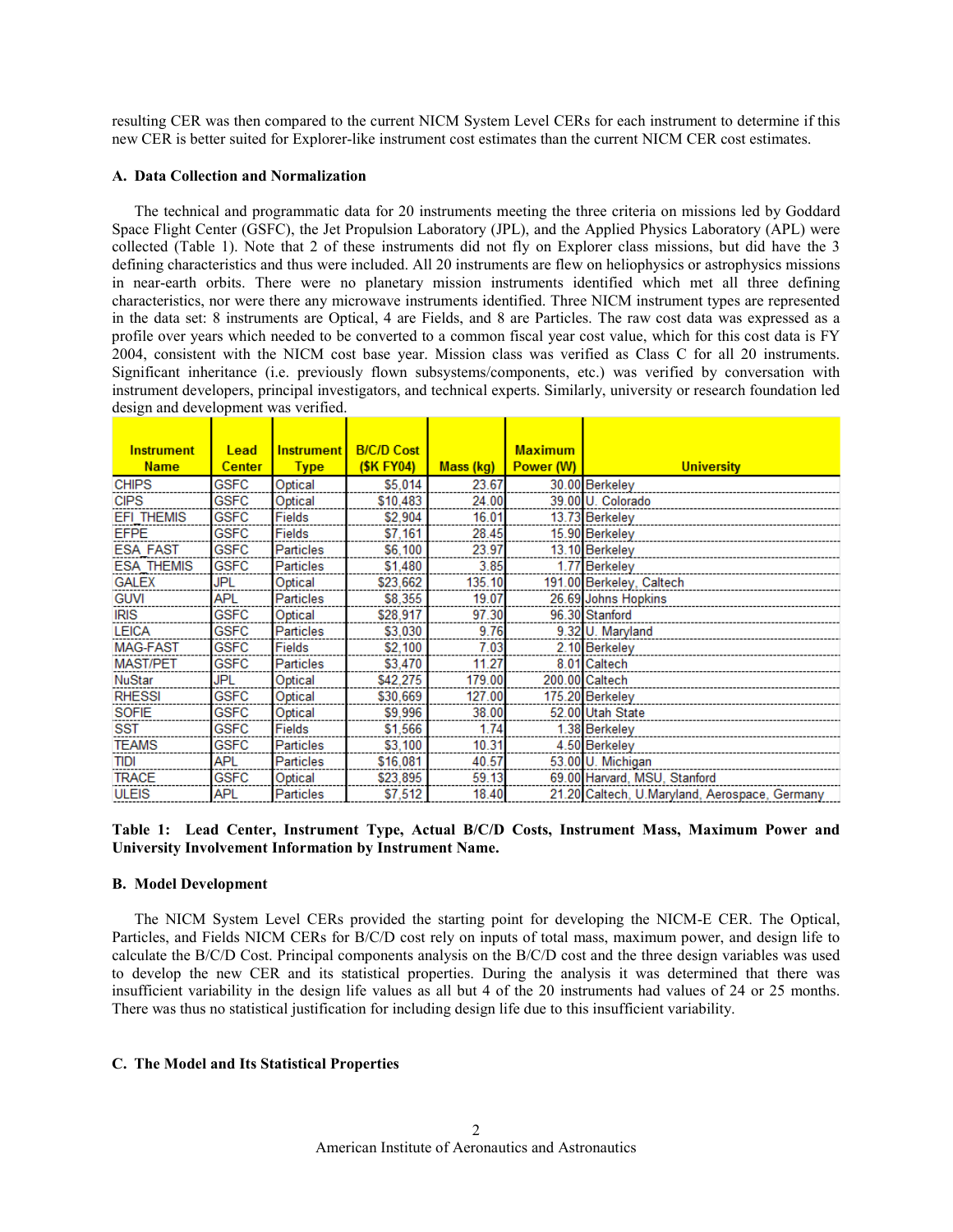resulting CER was then compared to the current NICM System Level CERs for each instrument to determine if this new CER is better suited for Explorer-like instrument cost estimates than the current NICM CER cost estimates.

#### **A. Data Collection and Normalization**

The technical and programmatic data for 20 instruments meeting the three criteria on missions led by Goddard Space Flight Center (GSFC), the Jet Propulsion Laboratory (JPL), and the Applied Physics Laboratory (APL) were collected [\(Table 1\)](#page-1-0). Note that 2 of these instruments did not fly on Explorer class missions, but did have the 3 defining characteristics and thus were included. All 20 instruments are flew on heliophysics or astrophysics missions in near-earth orbits. There were no planetary mission instruments identified which met all three defining characteristics, nor were there any microwave instruments identified. Three NICM instrument types are represented in the data set: 8 instruments are Optical, 4 are Fields, and 8 are Particles. The raw cost data was expressed as a profile over years which needed to be converted to a common fiscal year cost value, which for this cost data is FY 2004, consistent with the NICM cost base year. Mission class was verified as Class C for all 20 instruments. Significant inheritance (i.e. previously flown subsystems/components, etc.) was verified by conversation with instrument developers, principal investigators, and technical experts. Similarly, university or research foundation led design and development was verified.

| <b>Instrument</b><br><b>Name</b> | Lead<br><b>Center</b> | <b>Instrument</b><br><b>Type</b> | <b>B/C/D Cost</b><br>(\$K FY04) | Mass (kg) | <b>Maximum</b><br>Power (W) | <b>University</b>                             |
|----------------------------------|-----------------------|----------------------------------|---------------------------------|-----------|-----------------------------|-----------------------------------------------|
| <b>CHIPS</b>                     | <b>GSFC</b>           | Optical                          | \$5.014                         | 23.67     |                             | 30.00 Berkeley                                |
| <b>CIPS</b>                      | <b>GSFC</b>           | Optical                          | \$10.483                        | 24.00     |                             | 39.00 U. Colorado                             |
| <b>EFI THEMIS</b>                | <b>GSFC</b>           | Fields                           | \$2,904                         | 16.01     |                             | 13.73 Berkeley                                |
| <b>EFPE</b>                      | <b>GSFC</b>           | Fields                           | \$7,161                         | 28.45     |                             | 15.90 Berkeley                                |
| <b>ESA FAST</b>                  | <b>GSFC</b>           | Particles                        | \$6,100                         | 23.97     |                             | 13.10 Berkeley                                |
| <b>ESA THEMIS</b>                | <b>GSFC</b>           | Particles                        | \$1,480                         | 3.85      |                             | 1.77 Berkeley                                 |
| <b>GALEX</b>                     | JPL.                  | Optical                          | \$23,662                        | 135.10    |                             | 191.00 Berkeley, Caltech                      |
| <b>GUVI</b>                      | APL.                  | Particles                        | \$8,355                         | 19.07     |                             | 26.69 Johns Hopkins                           |
| <b>IRIS</b>                      | <b>GSFC</b>           | Optical                          | \$28,917                        | 97.30     |                             | 96.30 Stanford                                |
| <b>LEICA</b>                     | <b>GSFC</b>           | Particles                        | \$3,030                         | 9.76      |                             | 9.32 U. Maryland                              |
| <b>MAG-FAST</b>                  | <b>GSFC</b>           | Fields                           | \$2,100                         | 7.03      |                             | 2.10 Berkeley                                 |
| <b>MAST/PET</b>                  | <b>GSFC</b>           | Particles                        | \$3,470                         | 11.27     |                             | 8.01 Caltech                                  |
| <b>NuStar</b>                    | JPL.                  | Optical                          | \$42,275                        | 179.00    |                             | 200.00 Caltech                                |
| <b>RHESSI</b>                    | <b>GSFC</b>           | Optical                          | \$30,669                        | 127.00    |                             | 175.20 Berkeley                               |
| <b>SOFIE</b>                     | <b>GSFC</b>           | Optical                          | \$9.996                         | 38.00     |                             | 52.00 Utah State                              |
| <b>SST</b>                       | <b>GSFC</b>           | Fields                           | \$1,566                         | 1.74      |                             | 1.38 Berkeley                                 |
| <b>TEAMS</b>                     | <b>GSFC</b>           | Particles                        | \$3,100                         | 10.31     |                             | 4.50 Berkeley                                 |
| TIDI                             | APL.                  | Particles                        | \$16,081                        | 40.57     |                             | 53.00 U. Michigan                             |
| <b>TRACE</b>                     | <b>GSFC</b>           | Optical                          | \$23,895                        | 59.13     |                             | 69.00 Harvard, MSU, Stanford                  |
| <b>ULEIS</b>                     | APL                   | Particles                        | \$7,512                         | 18.40     |                             | 21.20 Caltech, U.Maryland, Aerospace, Germany |

## <span id="page-1-0"></span>**Table 1: Lead Center, Instrument Type, Actual B/C/D Costs, Instrument Mass, Maximum Power and University Involvement Information by Instrument Name.**

#### **B. Model Development**

The NICM System Level CERs provided the starting point for developing the NICM-E CER. The Optical, Particles, and Fields NICM CERs for B/C/D cost rely on inputs of total mass, maximum power, and design life to calculate the B/C/D Cost. Principal components analysis on the B/C/D cost and the three design variables was used to develop the new CER and its statistical properties. During the analysis it was determined that there was insufficient variability in the design life values as all but 4 of the 20 instruments had values of 24 or 25 months. There was thus no statistical justification for including design life due to this insufficient variability.

#### **C. The Model and Its Statistical Properties**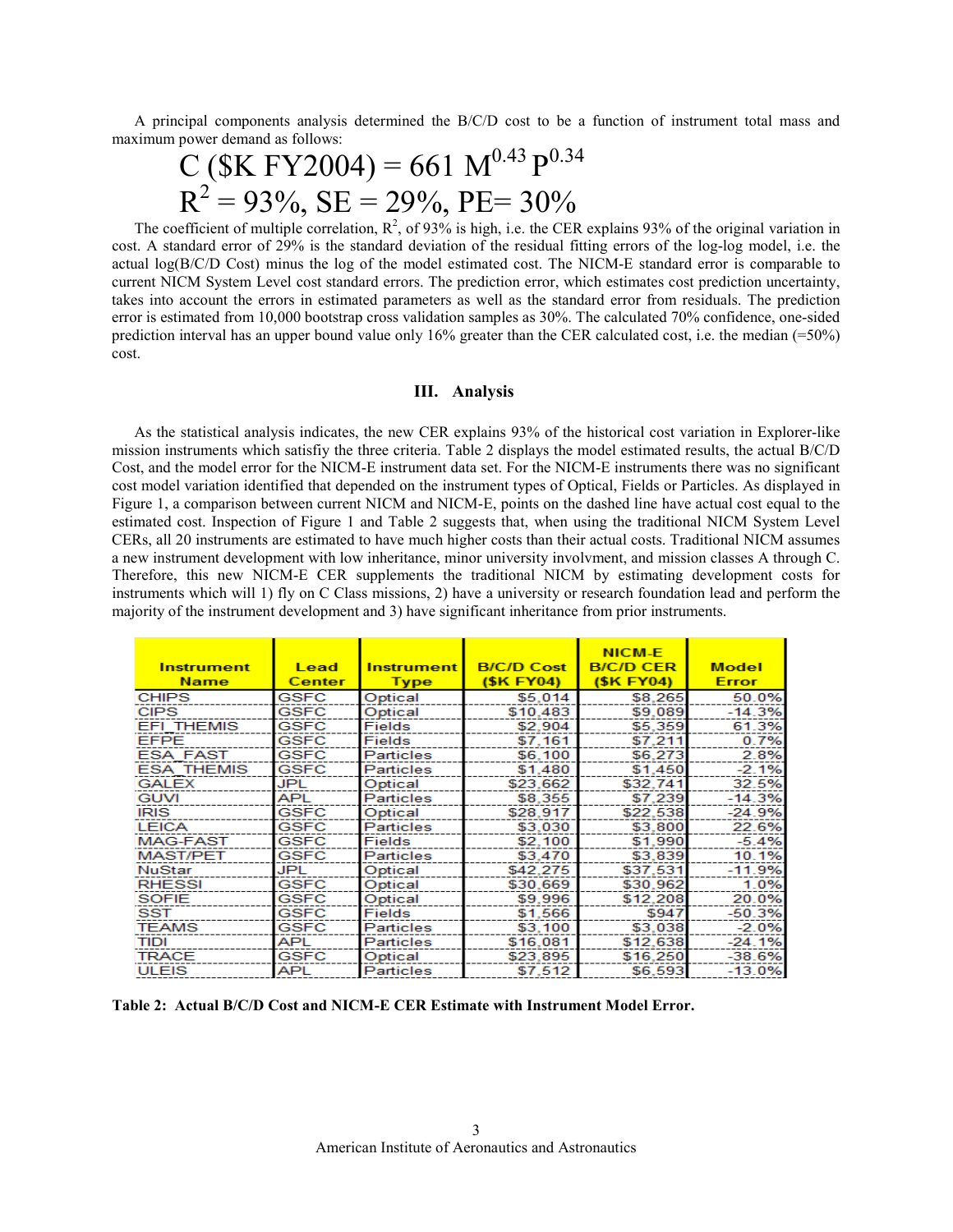A principal components analysis determined the B/C/D cost to be a function of instrument total mass and maximum power demand as follows:

$$
C ( $K FY2004) = 661 M^{0.43} P^{0.34}
$$
  
R<sup>2</sup> = 93%, SE = 29%, PE = 30%

The coefficient of multiple correlation,  $R^2$ , of 93% is high, i.e. the CER explains 93% of the original variation in cost. A standard error of 29% is the standard deviation of the residual fitting errors of the log-log model, i.e. the actual log(B/C/D Cost) minus the log of the model estimated cost. The NICM-E standard error is comparable to current NICM System Level cost standard errors. The prediction error, which estimates cost prediction uncertainty, takes into account the errors in estimated parameters as well as the standard error from residuals. The prediction error is estimated from 10,000 bootstrap cross validation samples as 30%. The calculated 70% confidence, one-sided prediction interval has an upper bound value only 16% greater than the CER calculated cost, i.e. the median (=50%) cost.

#### **III. Analysis**

As the statistical analysis indicates, the new CER explains 93% of the historical cost variation in Explorer-like mission instruments which satisfiy the three criteria. Table 2 displays the model estimated results, the actual B/C/D Cost, and the model error for the NICM-E instrument data set. For the NICM-E instruments there was no significant cost model variation identified that depended on the instrument types of Optical, Fields or Particles. As displayed in [Figure 1,](#page-3-0) a comparison between current NICM and NICM-E, points on the dashed line have actual cost equal to the estimated cost. Inspection of [Figure 1](#page-3-0) and [Table 2](#page-2-0) suggests that, when using the traditional NICM System Level CERs, all 20 instruments are estimated to have much higher costs than their actual costs. Traditional NICM assumes a new instrument development with low inheritance, minor university involvment, and mission classes A through C. Therefore, this new NICM-E CER supplements the traditional NICM by estimating development costs for instruments which will 1) fly on C Class missions, 2) have a university or research foundation lead and perform the majority of the instrument development and 3) have significant inheritance from prior instruments.

| <b>Instrument</b><br><b>Name</b> | Lead<br><b>Center</b> | <b>Instrument</b><br><b>Type</b> | <b>B/C/D Cost</b><br>(SK FY04) | NICM-E<br><b>B/C/D CER</b><br>(\$K FY04) | <b>Model</b><br><b>Error</b> |
|----------------------------------|-----------------------|----------------------------------|--------------------------------|------------------------------------------|------------------------------|
| <b>CHIPS</b>                     | <b>GSFC</b>           | Optical                          | \$5.014                        | \$8,265                                  | 50.0%                        |
| <b>CIPS</b>                      | <b>GSFC</b>           | Optical                          | \$10,483                       | \$9,089                                  | $-14.3%$                     |
| <b>EFI THEMIS</b>                | <b>GSFC</b>           | <b>Fields</b>                    | \$2,904                        | \$5,359                                  | 61.3%                        |
| <b>EFPE</b>                      | <b>GSFC</b>           | Fields                           | \$7.161                        | \$7.211                                  | 0.7%                         |
| <b>ESA FAST</b>                  | <b>GSFC</b>           | Particles                        | \$6,100                        | \$6,273                                  | 2.8%                         |
| <b>ESA THEMIS</b>                | <b>GSFC</b>           | Particles                        | \$1,480                        | \$1,450                                  | $-2.1%$                      |
| <b>GALEX</b>                     | JPL                   | Optical                          | \$23.662                       | \$32,741                                 | 32.5%                        |
| GUVI                             | <b>APL</b>            | Particles                        | \$8,355                        | \$7.239                                  | $-14.3%$                     |
| <b>IRIS</b>                      | <b>GSFC</b>           | Optical                          | \$28.917                       | \$22.538                                 | $-24.9%$                     |
| <b>LEICA</b>                     | <b>GSFC</b>           | Particles                        | \$3.030                        | \$3.800                                  | 22.6%                        |
| <b>MAG-FAST</b>                  | <b>GSFC</b>           | Fields                           | \$2.100                        | \$1.990                                  | $-5.4%$                      |
| <b>MAST/PET</b>                  | <b>GSFC</b>           | Particles                        | \$3.470                        | \$3,839                                  | 10.1%                        |
| <b>NuStar</b>                    | JPL                   | Optical                          | \$42.275                       | \$37.531                                 | $-11.9%$                     |
| <b>RHESSI</b>                    | <b>GSFC</b>           | Optical                          | \$30.669                       | \$30.962                                 | 1.0%                         |
| <b>SOFIE</b>                     | <b>GSFC</b>           | Optical                          | \$9.996                        | \$12,208                                 | 20.0%                        |
| <b>SST</b>                       | <b>GSFC</b>           | Fields                           | \$1,566                        | \$947                                    | $-50.3%$                     |
| <b>TEAMS</b>                     | <b>GSFC</b>           | Particles                        | \$3,100                        | \$3,038                                  | $-2.0%$                      |
| <b>TIDI</b>                      | <b>APL</b>            | Particles                        | \$16,081                       | \$12,638                                 | $-24.1%$                     |
| <b>TRACE</b>                     | <b>GSFC</b>           | Optical                          | \$23.895                       | \$16,250                                 | $-38.6%$                     |
| <b>ULEIS</b>                     | APL                   | Particles                        | \$7,512                        | \$6,593                                  | $-13.0%$                     |

<span id="page-2-0"></span>**Table 2: Actual B/C/D Cost and NICM-E CER Estimate with Instrument Model Error.**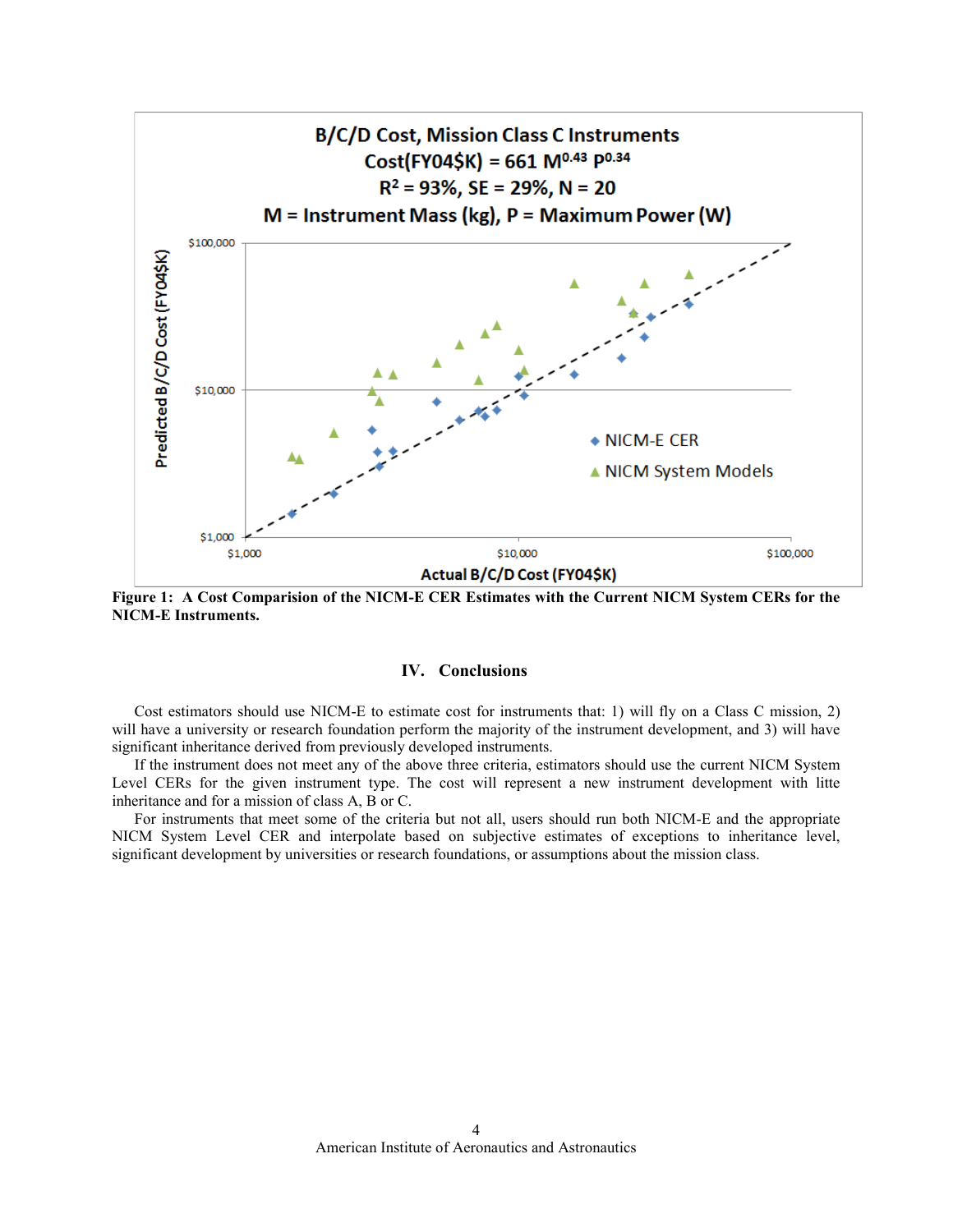

<span id="page-3-0"></span>**Figure 1: A Cost Comparision of the NICM-E CER Estimates with the Current NICM System CERs for the NICM-E Instruments.** 

#### **IV. Conclusions**

Cost estimators should use NICM-E to estimate cost for instruments that: 1) will fly on a Class C mission, 2) will have a university or research foundation perform the majority of the instrument development, and 3) will have significant inheritance derived from previously developed instruments.

If the instrument does not meet any of the above three criteria, estimators should use the current NICM System Level CERs for the given instrument type. The cost will represent a new instrument development with litte inheritance and for a mission of class A, B or C.

For instruments that meet some of the criteria but not all, users should run both NICM-E and the appropriate NICM System Level CER and interpolate based on subjective estimates of exceptions to inheritance level, significant development by universities or research foundations, or assumptions about the mission class.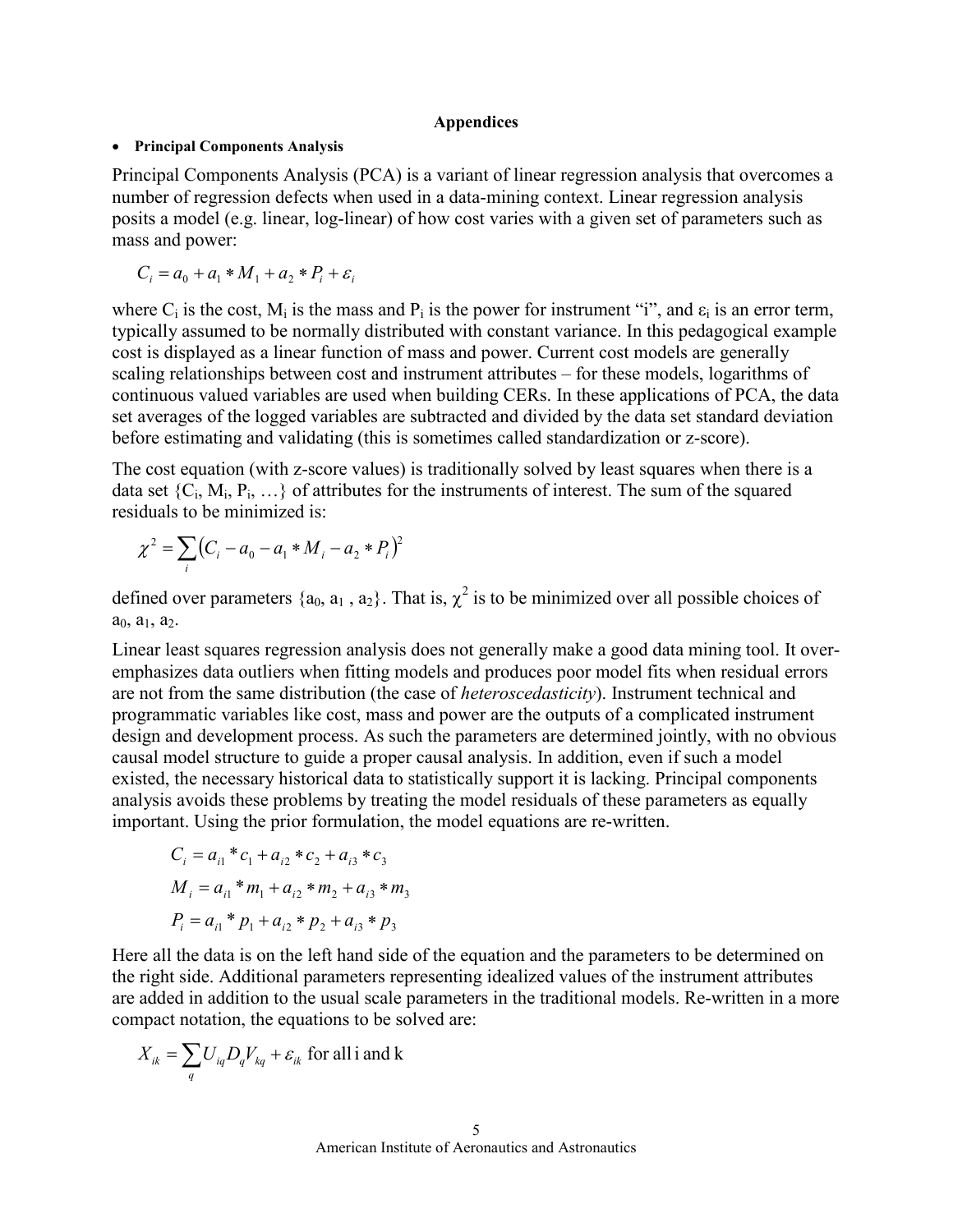### **Appendices**

## • **Principal Components Analysis**

Principal Components Analysis (PCA) is a variant of linear regression analysis that overcomes a number of regression defects when used in a data-mining context. Linear regression analysis posits a model (e.g. linear, log-linear) of how cost varies with a given set of parameters such as mass and power:

$$
C_i = a_0 + a_1 * M_1 + a_2 * P_i + \varepsilon_i
$$

where C<sub>i</sub> is the cost, M<sub>i</sub> is the mass and P<sub>i</sub> is the power for instrument "i", and  $\varepsilon_i$  is an error term, typically assumed to be normally distributed with constant variance. In this pedagogical example cost is displayed as a linear function of mass and power. Current cost models are generally scaling relationships between cost and instrument attributes – for these models, logarithms of continuous valued variables are used when building CERs. In these applications of PCA, the data set averages of the logged variables are subtracted and divided by the data set standard deviation before estimating and validating (this is sometimes called standardization or z-score).

The cost equation (with z-score values) is traditionally solved by least squares when there is a data set  $\{C_i, M_i, P_i, \ldots\}$  of attributes for the instruments of interest. The sum of the squared residuals to be minimized is:

$$
\chi^2 = \sum_i (C_i - a_0 - a_1 * M_i - a_2 * P_i)^2
$$

defined over parameters  $\{a_0, a_1, a_2\}$ . That is,  $\chi^2$  is to be minimized over all possible choices of  $a_0$ ,  $a_1$ ,  $a_2$ .

Linear least squares regression analysis does not generally make a good data mining tool. It overemphasizes data outliers when fitting models and produces poor model fits when residual errors are not from the same distribution (the case of *heteroscedasticity*). Instrument technical and programmatic variables like cost, mass and power are the outputs of a complicated instrument design and development process. As such the parameters are determined jointly, with no obvious causal model structure to guide a proper causal analysis. In addition, even if such a model existed, the necessary historical data to statistically support it is lacking. Principal components analysis avoids these problems by treating the model residuals of these parameters as equally important. Using the prior formulation, the model equations are re-written.

$$
C_i = a_{i1} * c_1 + a_{i2} * c_2 + a_{i3} * c_3
$$
  
\n
$$
M_i = a_{i1} * m_1 + a_{i2} * m_2 + a_{i3} * m_3
$$
  
\n
$$
P_i = a_{i1} * p_1 + a_{i2} * p_2 + a_{i3} * p_3
$$

Here all the data is on the left hand side of the equation and the parameters to be determined on the right side. Additional parameters representing idealized values of the instrument attributes are added in addition to the usual scale parameters in the traditional models. Re-written in a more compact notation, the equations to be solved are:

$$
X_{ik} = \sum_{q} U_{iq} D_{q} V_{kq} + \varepsilon_{ik}
$$
 for all i and k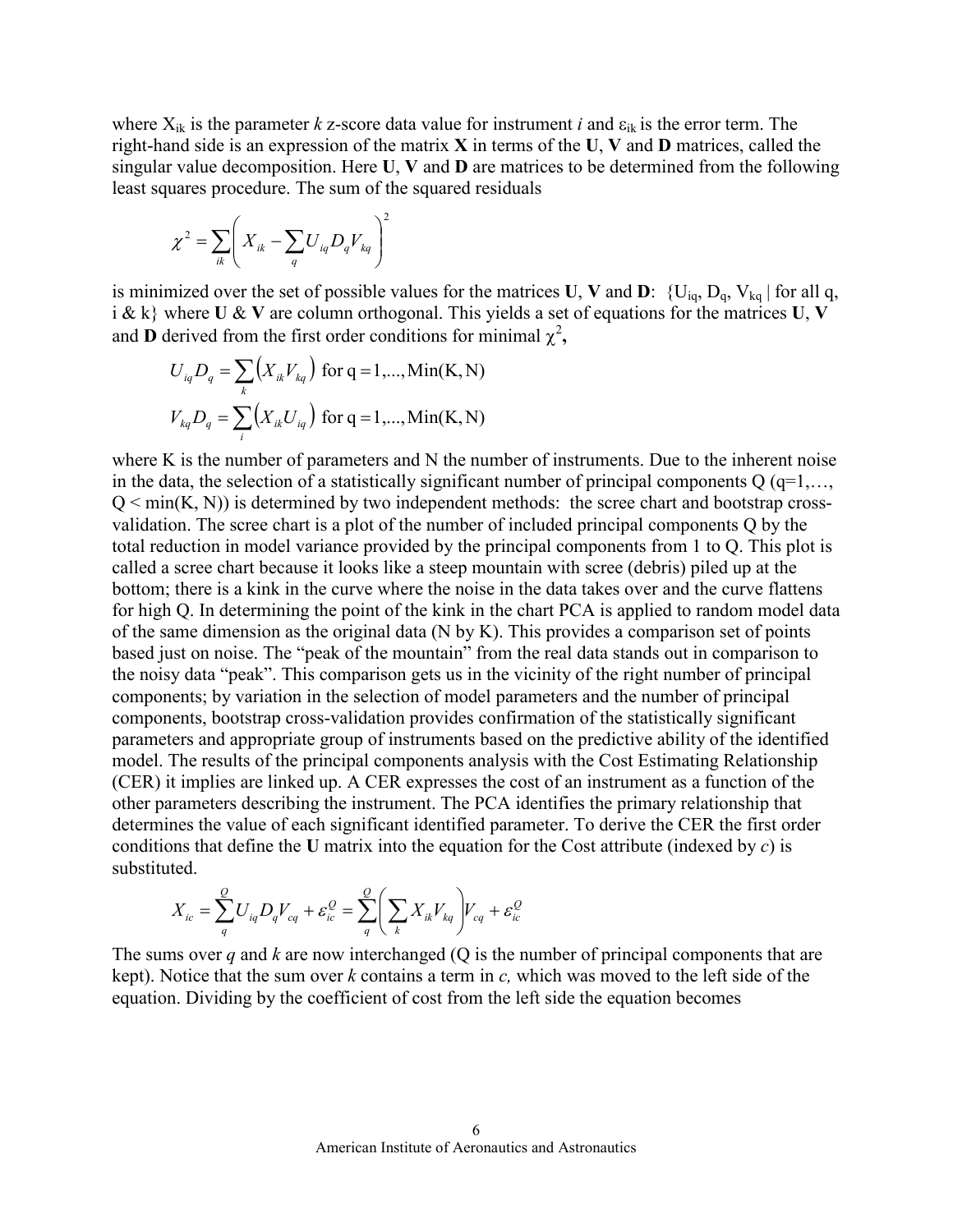where  $X_{ik}$  is the parameter *k* z-score data value for instrument *i* and  $\varepsilon_{ik}$  is the error term. The right-hand side is an expression of the matrix **X** in terms of the **U**, **V** and **D** matrices, called the singular value decomposition. Here **U**, **V** and **D** are matrices to be determined from the following least squares procedure. The sum of the squared residuals

$$
\chi^2 = \sum_{ik} \left( X_{ik} - \sum_{q} U_{iq} D_q V_{kq} \right)^2
$$

is minimized over the set of possible values for the matrices **U**, **V** and **D**:  $\{U_{iq}, D_q, V_{kq} \}$  for all q, i & k} where **U** & **V** are column orthogonal. This yields a set of equations for the matrices **U**, **V** and **D** derived from the first order conditions for minimal  $\chi^2$ ,

$$
U_{iq}D_q = \sum_k (X_{ik}V_{kq})
$$
 for q = 1,..., Min(K, N)  

$$
V_{kq}D_q = \sum_i (X_{ik}U_{iq})
$$
 for q = 1,..., Min(K, N)

where K is the number of parameters and N the number of instruments. Due to the inherent noise in the data, the selection of a statistically significant number of principal components  $Q(q=1,..., q)$  $Q \le \min(K, N)$  is determined by two independent methods: the scree chart and bootstrap crossvalidation. The scree chart is a plot of the number of included principal components Q by the total reduction in model variance provided by the principal components from 1 to Q. This plot is called a scree chart because it looks like a steep mountain with scree (debris) piled up at the bottom; there is a kink in the curve where the noise in the data takes over and the curve flattens for high Q. In determining the point of the kink in the chart PCA is applied to random model data of the same dimension as the original data (N by K). This provides a comparison set of points based just on noise. The "peak of the mountain" from the real data stands out in comparison to the noisy data "peak". This comparison gets us in the vicinity of the right number of principal components; by variation in the selection of model parameters and the number of principal components, bootstrap cross-validation provides confirmation of the statistically significant parameters and appropriate group of instruments based on the predictive ability of the identified model. The results of the principal components analysis with the Cost Estimating Relationship (CER) it implies are linked up. A CER expresses the cost of an instrument as a function of the other parameters describing the instrument. The PCA identifies the primary relationship that determines the value of each significant identified parameter. To derive the CER the first order conditions that define the **U** matrix into the equation for the Cost attribute (indexed by *c*) is substituted.

$$
X_{ic} = \sum_{q}^{Q} U_{iq} D_q V_{cq} + \varepsilon_{ic}^{Q} = \sum_{q}^{Q} \left( \sum_{k} X_{ik} V_{kq} \right) V_{cq} + \varepsilon_{ic}^{Q}
$$

The sums over *q* and *k* are now interchanged (Q is the number of principal components that are kept). Notice that the sum over *k* contains a term in *c,* which was moved to the left side of the equation. Dividing by the coefficient of cost from the left side the equation becomes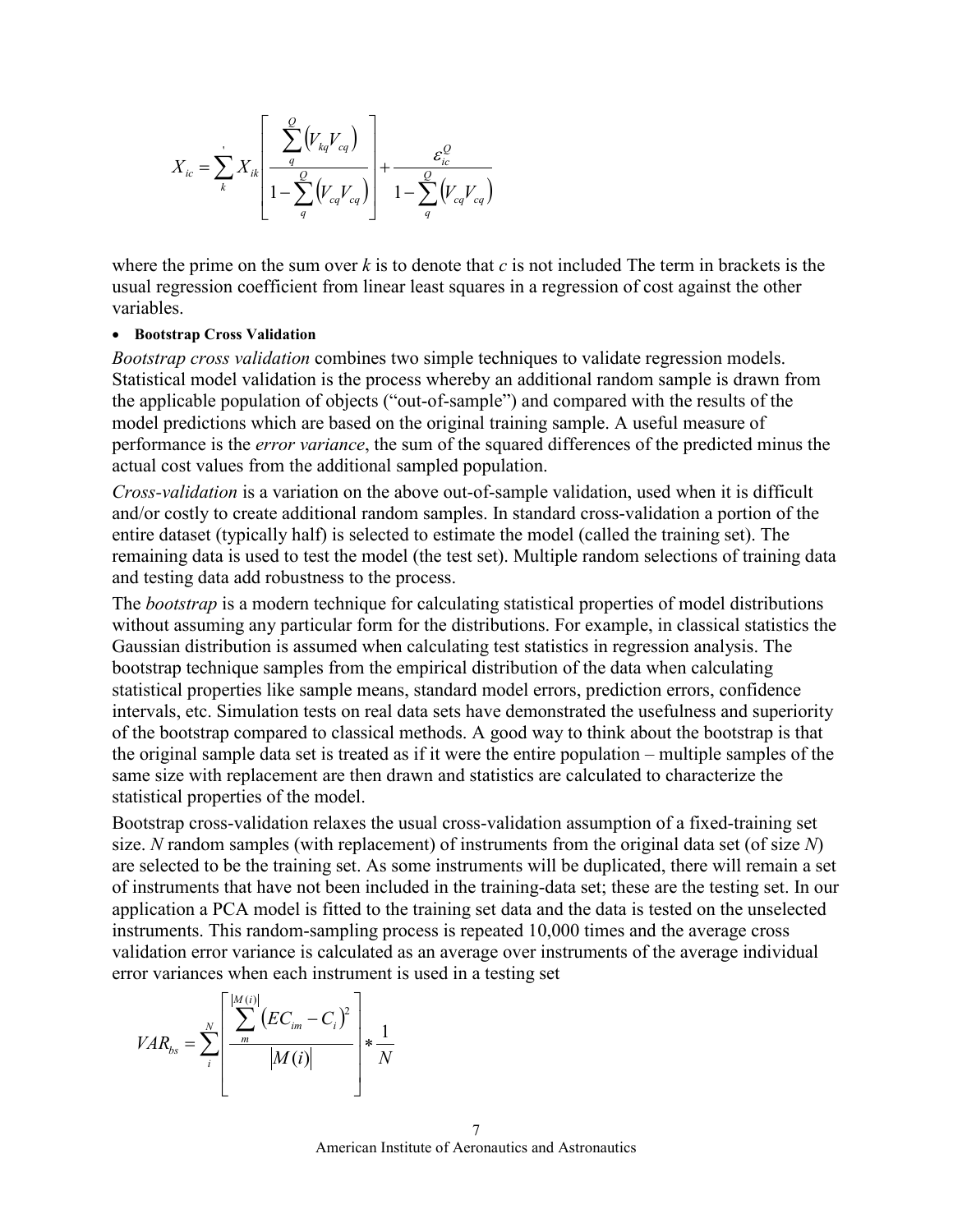$$
X_{ic} = \sum_{k}^{i} X_{ik} \left[ \frac{\sum_{q}^{Q} (V_{kq} V_{cq})}{1 - \sum_{q}^{Q} (V_{cq} V_{cq})} \right] + \frac{\varepsilon_{ic}^{Q}}{1 - \sum_{q}^{Q} (V_{cq} V_{cq})}
$$

where the prime on the sum over  $k$  is to denote that  $c$  is not included The term in brackets is the usual regression coefficient from linear least squares in a regression of cost against the other variables.

## • **Bootstrap Cross Validation**

*Bootstrap cross validation* combines two simple techniques to validate regression models. Statistical model validation is the process whereby an additional random sample is drawn from the applicable population of objects ("out-of-sample") and compared with the results of the model predictions which are based on the original training sample. A useful measure of performance is the *error variance*, the sum of the squared differences of the predicted minus the actual cost values from the additional sampled population.

*Cross-validation* is a variation on the above out-of-sample validation, used when it is difficult and/or costly to create additional random samples. In standard cross-validation a portion of the entire dataset (typically half) is selected to estimate the model (called the training set). The remaining data is used to test the model (the test set). Multiple random selections of training data and testing data add robustness to the process.

The *bootstrap* is a modern technique for calculating statistical properties of model distributions without assuming any particular form for the distributions. For example, in classical statistics the Gaussian distribution is assumed when calculating test statistics in regression analysis. The bootstrap technique samples from the empirical distribution of the data when calculating statistical properties like sample means, standard model errors, prediction errors, confidence intervals, etc. Simulation tests on real data sets have demonstrated the usefulness and superiority of the bootstrap compared to classical methods. A good way to think about the bootstrap is that the original sample data set is treated as if it were the entire population – multiple samples of the same size with replacement are then drawn and statistics are calculated to characterize the statistical properties of the model.

Bootstrap cross-validation relaxes the usual cross-validation assumption of a fixed-training set size. *N* random samples (with replacement) of instruments from the original data set (of size *N*) are selected to be the training set. As some instruments will be duplicated, there will remain a set of instruments that have not been included in the training-data set; these are the testing set. In our application a PCA model is fitted to the training set data and the data is tested on the unselected instruments. This random-sampling process is repeated 10,000 times and the average cross validation error variance is calculated as an average over instruments of the average individual error variances when each instrument is used in a testing set

$$
VAR_{bs} = \sum_{i}^{N} \left[ \frac{\sum_{m}^{[M(i)]} (EC_{im} - C_{i})^{2}}{|M(i)|} \right] * \frac{1}{N}
$$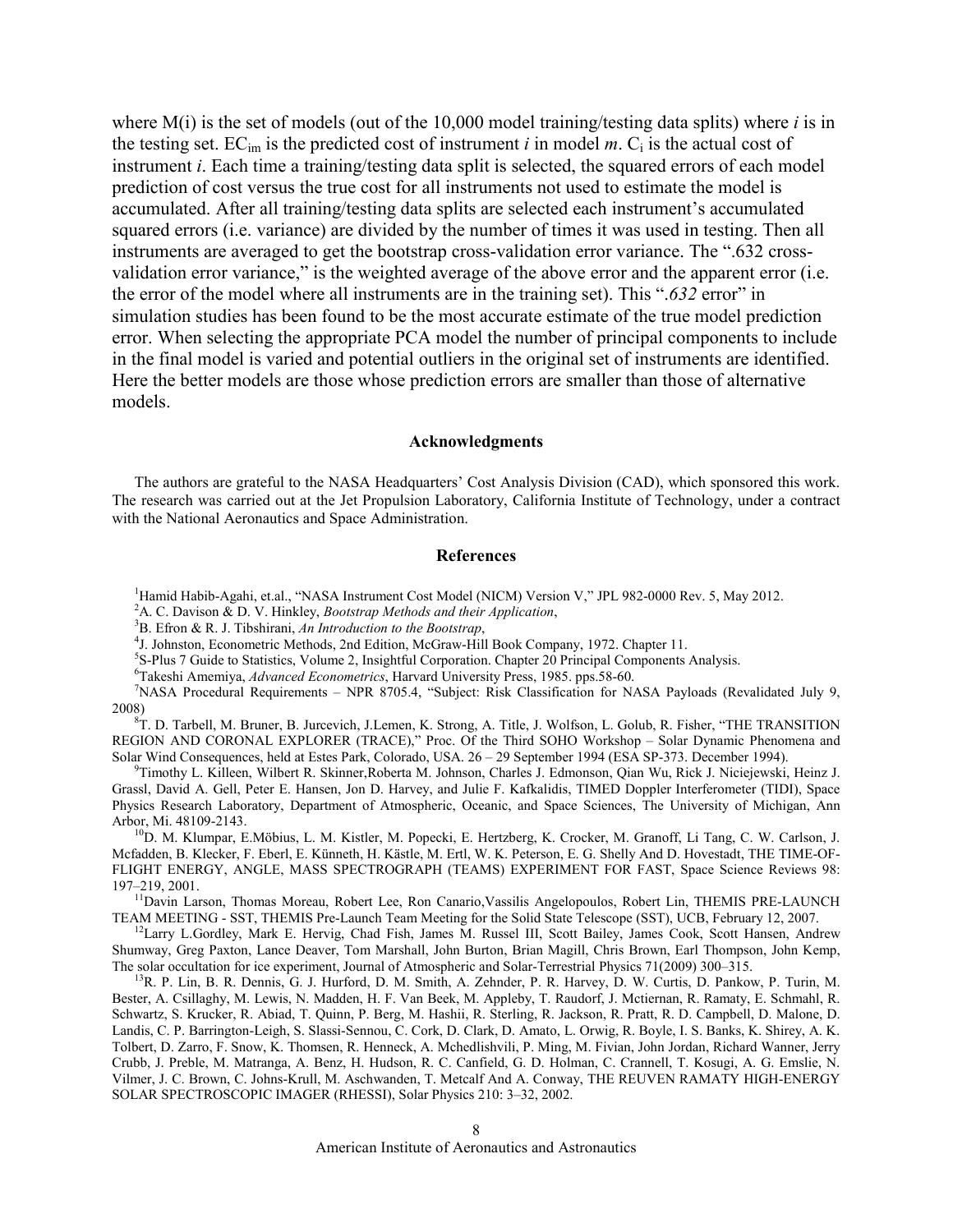where  $M(i)$  is the set of models (out of the 10,000 model training/testing data splits) where *i* is in the testing set.  $EC_{im}$  is the predicted cost of instrument *i* in model *m*.  $C_i$  is the actual cost of instrument *i*. Each time a training/testing data split is selected, the squared errors of each model prediction of cost versus the true cost for all instruments not used to estimate the model is accumulated. After all training/testing data splits are selected each instrument's accumulated squared errors (i.e. variance) are divided by the number of times it was used in testing. Then all instruments are averaged to get the bootstrap cross-validation error variance. The ".632 crossvalidation error variance," is the weighted average of the above error and the apparent error (i.e. the error of the model where all instruments are in the training set). This ".*632* error" in simulation studies has been found to be the most accurate estimate of the true model prediction error. When selecting the appropriate PCA model the number of principal components to include in the final model is varied and potential outliers in the original set of instruments are identified. Here the better models are those whose prediction errors are smaller than those of alternative models.

#### **Acknowledgments**

The authors are grateful to the NASA Headquarters' Cost Analysis Division (CAD), which sponsored this work. The research was carried out at the Jet Propulsion Laboratory, California Institute of Technology, under a contract with the National Aeronautics and Space Administration.

#### **References**

<sup>1</sup>Hamid Habib-Agahi, et.al., "NASA Instrument Cost Model (NICM) Version V," JPL 982-0000 Rev. 5, May 2012.

<sup>2</sup>A. C. Davison & D. V. Hinkley, *Bootstrap Methods and their Application*,

<sup>3</sup>B. Efron & R. J. Tibshirani, *An Introduction to the Bootstrap*,

<sup>4</sup>J. Johnston, Econometric Methods, 2nd Edition, McGraw-Hill Book Company, 1972. Chapter 11.

<sup>5</sup>S-Plus 7 Guide to Statistics, Volume 2, Insightful Corporation. Chapter 20 Principal Components Analysis.

Takeshi Amemiya, *Advanced Econometrics*, Harvard University Press, 1985. pps.58-60. <sup>7</sup>

NASA Procedural Requirements – NPR 8705.4, "Subject: Risk Classification for NASA Payloads (Revalidated July 9, 2008)

<sup>8</sup>T. D. Tarbell, M. Bruner, B. Jurcevich, J.Lemen, K. Strong, A. Title, J. Wolfson, L. Golub, R. Fisher, "THE TRANSITION REGION AND CORONAL EXPLORER (TRACE)," Proc. Of the Third SOHO Workshop – Solar Dynamic Phenomena and Solar Wind Consequences, held at Estes Park, Colorado, USA. 26 – 29 September 1994 (ESA SP-373. December 1994).

Timothy L. Killeen, Wilbert R. Skinner,Roberta M. Johnson, Charles J. Edmonson, Qian Wu, Rick J. Niciejewski, Heinz J. Grassl, David A. Gell, Peter E. Hansen, Jon D. Harvey, and Julie F. Kafkalidis, TIMED Doppler Interferometer (TIDI), Space Physics Research Laboratory, Department of Atmospheric, Oceanic, and Space Sciences, The University of Michigan, Ann

<sup>10</sup>D. M. Klumpar, E.Möbius, L. M. Kistler, M. Popecki, E. Hertzberg, K. Crocker, M. Granoff, Li Tang, C. W. Carlson, J. Mcfadden, B. Klecker, F. Eberl, E. Künneth, H. Kästle, M. Ertl, W. K. Peterson, E. G. Shelly And D. Hovestadt, THE TIME-OF-FLIGHT ENERGY, ANGLE, MASS SPECTROGRAPH (TEAMS) EXPERIMENT FOR FAST, Space Science Reviews 98: 197–219, 2001.

<sup>11</sup>Davin Larson, Thomas Moreau, Robert Lee, Ron Canario, Vassilis Angelopoulos, Robert Lin, THEMIS PRE-LAUNCH<br>TEAM MEETING - SST, THEMIS Pre-Launch Team Meeting for the Solid State Telescope (SST), UCB, February 12, 2007.

<sup>12</sup>Larry L.Gordley, Mark E. Hervig, Chad Fish, James M. Russel III, Scott Bailey, James Cook, Scott Hansen, Andrew Shumway, Greg Paxton, Lance Deaver, Tom Marshall, John Burton, Brian Magill, Chris Brown, Earl Thompson, John Kemp, The solar occultation for ice experiment, Journal of Atmospheric and Solar-Terrestrial Physics 71(2009) 30

<sup>13</sup>R. P. Lin, B. R. Dennis, G. J. Hurford, D. M. Smith, A. Zehnder, P. R. Harvey, D. W. Curtis, D. Pankow, P. Turin, M. Bester, A. Csillaghy, M. Lewis, N. Madden, H. F. Van Beek, M. Appleby, T. Raudorf, J. Mctiernan, R. Ramaty, E. Schmahl, R. Schwartz, S. Krucker, R. Abiad, T. Quinn, P. Berg, M. Hashii, R. Sterling, R. Jackson, R. Pratt, R. D. Campbell, D. Malone, D. Landis, C. P. Barrington-Leigh, S. Slassi-Sennou, C. Cork, D. Clark, D. Amato, L. Orwig, R. Boyle, I. S. Banks, K. Shirey, A. K. Tolbert, D. Zarro, F. Snow, K. Thomsen, R. Henneck, A. Mchedlishvili, P. Ming, M. Fivian, John Jordan, Richard Wanner, Jerry Crubb, J. Preble, M. Matranga, A. Benz, H. Hudson, R. C. Canfield, G. D. Holman, C. Crannell, T. Kosugi, A. G. Emslie, N. Vilmer, J. C. Brown, C. Johns-Krull, M. Aschwanden, T. Metcalf And A. Conway, THE REUVEN RAMATY HIGH-ENERGY SOLAR SPECTROSCOPIC IMAGER (RHESSI), Solar Physics 210: 3–32, 2002.